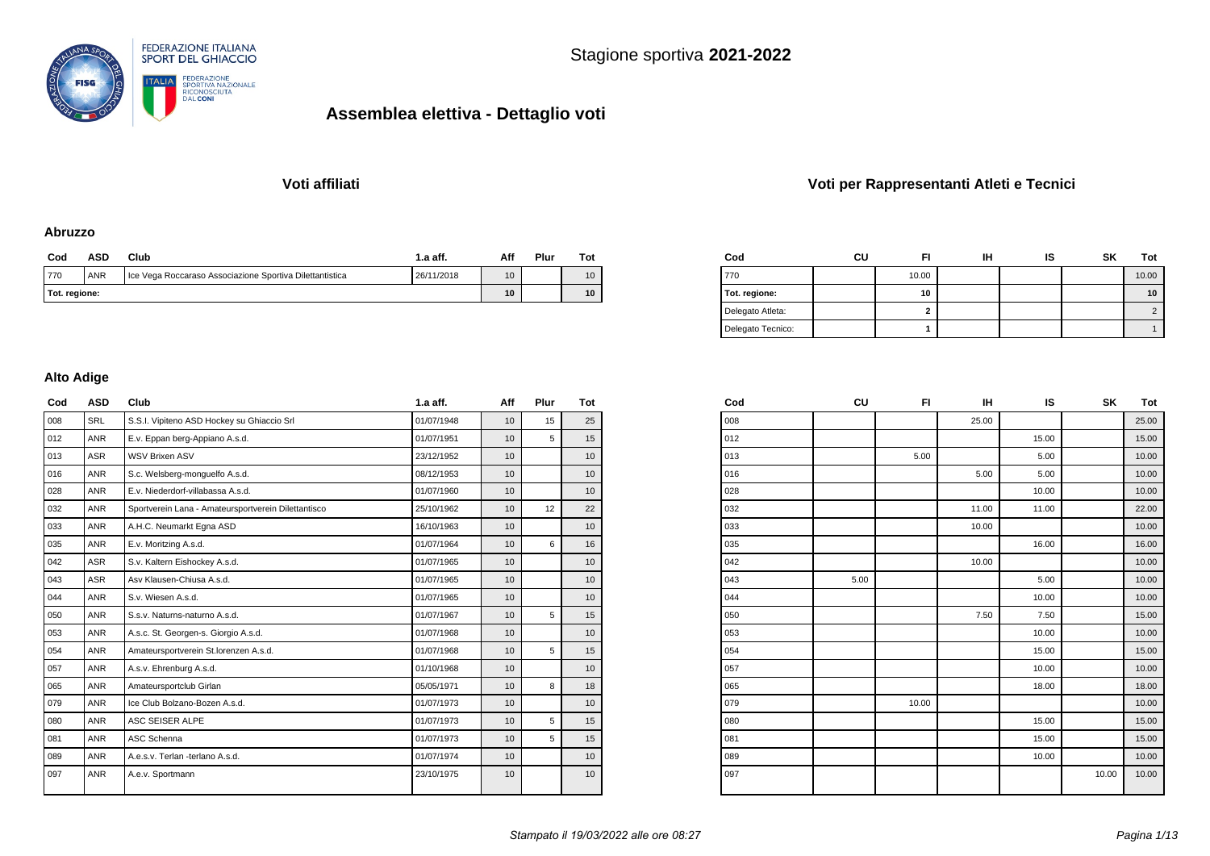

### **Voti affiliati Voti per Rappresentanti Atleti e Tecnici**

#### **Abruzzo**

| Cod           | ASD        | Club | 1.a aff. | Aff             | Plur | $_{\rm rot}$ |
|---------------|------------|------|----------|-----------------|------|--------------|
| 770           | <b>ANR</b> | 10   |          | 10              |      |              |
| Tot. regione: |            | 10   |          | 10 <sup>°</sup> |      |              |

| Cod               | CU | FI    | IΗ | ıs | SK | Tot   |
|-------------------|----|-------|----|----|----|-------|
| 770               |    | 10.00 |    |    |    | 10.00 |
| Tot. regione:     |    | 10    |    |    |    | 10    |
| Delegato Atleta:  |    | 2     |    |    |    |       |
| Delegato Tecnico: |    |       |    |    |    |       |

#### **Alto Adige**

| Cod | <b>ASD</b> | Club                                                | $1.a$ aff. | Aff | Plur | Tot |
|-----|------------|-----------------------------------------------------|------------|-----|------|-----|
| 008 | SRL        | S.S.I. Vipiteno ASD Hockey su Ghiaccio Srl          | 01/07/1948 | 10  | 15   | 25  |
| 012 | <b>ANR</b> | E.v. Eppan berg-Appiano A.s.d.                      | 01/07/1951 | 10  | 5    | 15  |
| 013 | <b>ASR</b> | <b>WSV Brixen ASV</b>                               | 23/12/1952 | 10  |      | 10  |
| 016 | <b>ANR</b> | S.c. Welsberg-monquelfo A.s.d.                      | 08/12/1953 | 10  |      | 10  |
| 028 | <b>ANR</b> | E.v. Niederdorf-villabassa A.s.d.                   | 01/07/1960 | 10  |      | 10  |
| 032 | <b>ANR</b> | Sportverein Lana - Amateursportverein Dilettantisco | 25/10/1962 | 10  | 12   | 22  |
| 033 | <b>ANR</b> | A.H.C. Neumarkt Egna ASD                            | 16/10/1963 | 10  |      | 10  |
| 035 | <b>ANR</b> | E.v. Moritzing A.s.d.                               | 01/07/1964 | 10  | 6    | 16  |
| 042 | <b>ASR</b> | S.v. Kaltern Eishockey A.s.d.                       | 01/07/1965 | 10  |      | 10  |
| 043 | <b>ASR</b> | Asv Klausen-Chiusa A.s.d.                           | 01/07/1965 | 10  |      | 10  |
| 044 | <b>ANR</b> | S.v. Wiesen A.s.d.                                  | 01/07/1965 | 10  |      | 10  |
| 050 | <b>ANR</b> | S.s.v. Naturns-naturno A.s.d.                       | 01/07/1967 | 10  | 5    | 15  |
| 053 | <b>ANR</b> | A.s.c. St. Georgen-s. Giorgio A.s.d.                | 01/07/1968 | 10  |      | 10  |
| 054 | <b>ANR</b> | Amateursportverein St.lorenzen A.s.d.               | 01/07/1968 | 10  | 5    | 15  |
| 057 | <b>ANR</b> | A.s.v. Ehrenburg A.s.d.                             | 01/10/1968 | 10  |      | 10  |
| 065 | <b>ANR</b> | Amateursportclub Girlan                             | 05/05/1971 | 10  | 8    | 18  |
| 079 | <b>ANR</b> | Ice Club Bolzano-Bozen A.s.d.                       | 01/07/1973 | 10  |      | 10  |
| 080 | <b>ANR</b> | ASC SEISER ALPE                                     | 01/07/1973 | 10  | 5    | 15  |
| 081 | <b>ANR</b> | ASC Schenna                                         | 01/07/1973 | 10  | 5    | 15  |
| 089 | <b>ANR</b> | A.e.s.v. Terlan -terlano A.s.d.                     | 01/07/1974 | 10  |      | 10  |
| 097 | <b>ANR</b> | A.e.v. Sportmann                                    | 23/10/1975 | 10  |      | 10  |

| Cod | CU   | FI    | IН    | IS    | SΚ    | Tot   |
|-----|------|-------|-------|-------|-------|-------|
| 008 |      |       | 25.00 |       |       | 25.00 |
| 012 |      |       |       | 15.00 |       | 15.00 |
| 013 |      | 5.00  |       | 5.00  |       | 10.00 |
| 016 |      |       | 5.00  | 5.00  |       | 10.00 |
| 028 |      |       |       | 10.00 |       | 10.00 |
| 032 |      |       | 11.00 | 11.00 |       | 22.00 |
| 033 |      |       | 10.00 |       |       | 10.00 |
| 035 |      |       |       | 16.00 |       | 16.00 |
| 042 |      |       | 10.00 |       |       | 10.00 |
| 043 | 5.00 |       |       | 5.00  |       | 10.00 |
| 044 |      |       |       | 10.00 |       | 10.00 |
| 050 |      |       | 7.50  | 7.50  |       | 15.00 |
| 053 |      |       |       | 10.00 |       | 10.00 |
| 054 |      |       |       | 15.00 |       | 15.00 |
| 057 |      |       |       | 10.00 |       | 10.00 |
| 065 |      |       |       | 18.00 |       | 18.00 |
| 079 |      | 10.00 |       |       |       | 10.00 |
| 080 |      |       |       | 15.00 |       | 15.00 |
| 081 |      |       |       | 15.00 |       | 15.00 |
| 089 |      |       |       | 10.00 |       | 10.00 |
| 097 |      |       |       |       | 10.00 | 10.00 |
|     |      |       |       |       |       |       |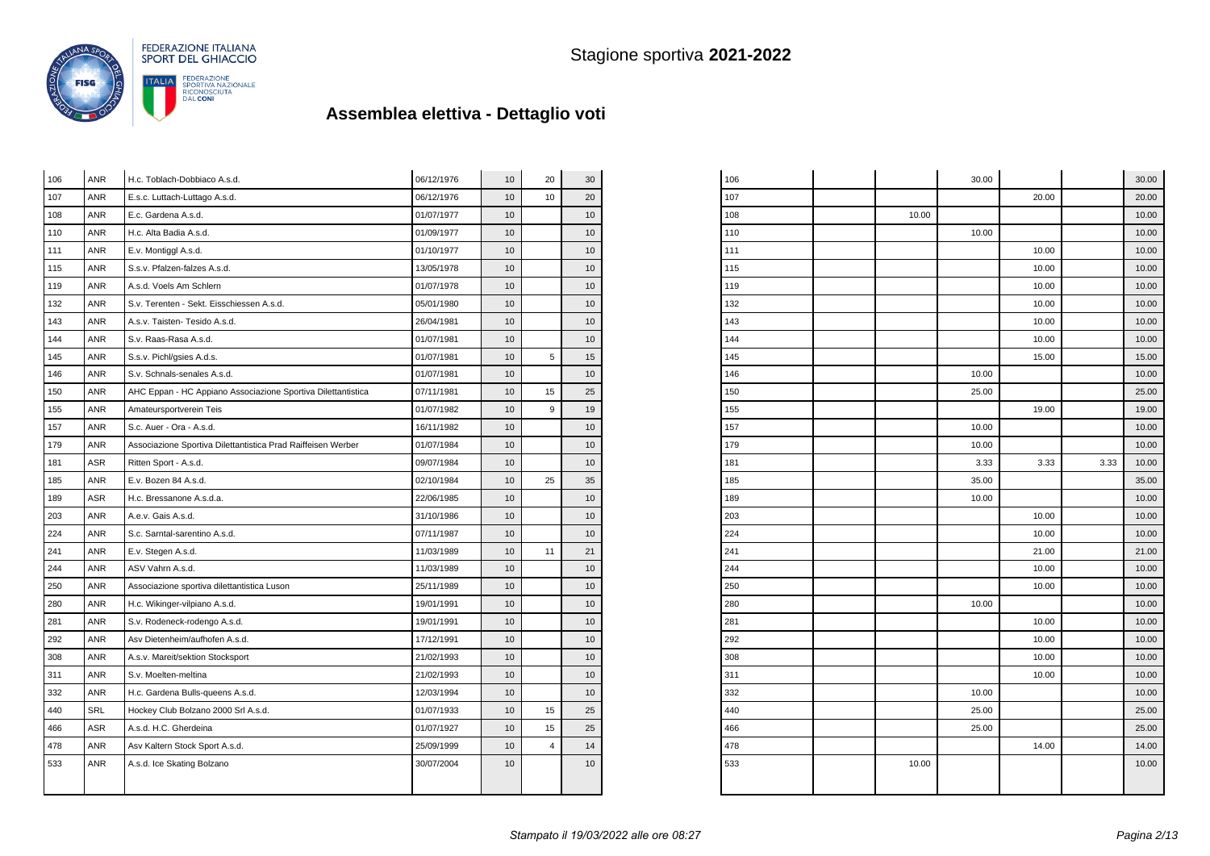

| 106 | <b>ANR</b> | H.c. Toblach-Dobbiaco A.s.d.                                 | 06/12/1976 | 10 | 20             | 30 |
|-----|------------|--------------------------------------------------------------|------------|----|----------------|----|
| 107 | <b>ANR</b> | E.s.c. Luttach-Luttago A.s.d.                                | 06/12/1976 | 10 | 10             | 20 |
| 108 | <b>ANR</b> | E.c. Gardena A.s.d.                                          | 01/07/1977 | 10 |                | 10 |
| 110 | <b>ANR</b> | H.c. Alta Badia A.s.d.                                       | 01/09/1977 | 10 |                | 10 |
| 111 | ANR        | E.v. Montiggl A.s.d.                                         | 01/10/1977 | 10 |                | 10 |
| 115 | <b>ANR</b> | S.s.v. Pfalzen-falzes A.s.d.                                 | 13/05/1978 | 10 |                | 10 |
| 119 | <b>ANR</b> | A.s.d. Voels Am Schlern                                      | 01/07/1978 | 10 |                | 10 |
| 132 | <b>ANR</b> | S.v. Terenten - Sekt. Eisschiessen A.s.d.                    | 05/01/1980 | 10 |                | 10 |
| 143 | <b>ANR</b> | A.s.v. Taisten- Tesido A.s.d.                                | 26/04/1981 | 10 |                | 10 |
| 144 | <b>ANR</b> | S.v. Raas-Rasa A.s.d.                                        | 01/07/1981 | 10 |                | 10 |
| 145 | <b>ANR</b> | S.s.v. Pichl/gsies A.d.s.                                    | 01/07/1981 | 10 | 5              | 15 |
| 146 | <b>ANR</b> | S.v. Schnals-senales A.s.d.                                  | 01/07/1981 | 10 |                | 10 |
| 150 | ANR        | AHC Eppan - HC Appiano Associazione Sportiva Dilettantistica | 07/11/1981 | 10 | 15             | 25 |
| 155 | ANR        | Amateursportverein Teis                                      | 01/07/1982 | 10 | $\overline{9}$ | 19 |
| 157 | ANR        | S.c. Auer - Ora - A.s.d.                                     | 16/11/1982 | 10 |                | 10 |
| 179 | ANR        | Associazione Sportiva Dilettantistica Prad Raiffeisen Werber | 01/07/1984 | 10 |                | 10 |
| 181 | <b>ASR</b> | Ritten Sport - A.s.d.                                        | 09/07/1984 | 10 |                | 10 |
| 185 | <b>ANR</b> | E.v. Bozen 84 A.s.d.                                         | 02/10/1984 | 10 | 25             | 35 |
| 189 | <b>ASR</b> | H.c. Bressanone A.s.d.a.                                     | 22/06/1985 | 10 |                | 10 |
| 203 | <b>ANR</b> | A.e.v. Gais A.s.d.                                           | 31/10/1986 | 10 |                | 10 |
| 224 | <b>ANR</b> | S.c. Sarntal-sarentino A.s.d.                                | 07/11/1987 | 10 |                | 10 |
| 241 | ANR        | E.v. Stegen A.s.d.                                           | 11/03/1989 | 10 | 11             | 21 |
| 244 | <b>ANR</b> | ASV Vahrn A.s.d.                                             | 11/03/1989 | 10 |                | 10 |
| 250 | <b>ANR</b> | Associazione sportiva dilettantistica Luson                  | 25/11/1989 | 10 |                | 10 |
| 280 | <b>ANR</b> | H.c. Wikinger-vilpiano A.s.d.                                | 19/01/1991 | 10 |                | 10 |
| 281 | <b>ANR</b> | S.v. Rodeneck-rodengo A.s.d.                                 | 19/01/1991 | 10 |                | 10 |
| 292 | <b>ANR</b> | Asv Dietenheim/aufhofen A.s.d.                               | 17/12/1991 | 10 |                | 10 |
| 308 | <b>ANR</b> | A.s.v. Mareit/sektion Stocksport                             | 21/02/1993 | 10 |                | 10 |
| 311 | <b>ANR</b> | S.v. Moelten-meltina                                         | 21/02/1993 | 10 |                | 10 |
| 332 | <b>ANR</b> | H.c. Gardena Bulls-queens A.s.d.                             | 12/03/1994 | 10 |                | 10 |
| 440 | SRL        | Hockey Club Bolzano 2000 Srl A.s.d.                          | 01/07/1933 | 10 | 15             | 25 |
| 466 | <b>ASR</b> | A.s.d. H.C. Gherdeina                                        | 01/07/1927 | 10 | 15             | 25 |
| 478 | <b>ANR</b> | Asv Kaltern Stock Sport A.s.d.                               | 25/09/1999 | 10 | $\overline{4}$ | 14 |
| 533 | <b>ANR</b> | A.s.d. Ice Skating Bolzano                                   | 30/07/2004 | 10 |                | 10 |
|     |            |                                                              |            |    |                |    |
|     |            |                                                              |            |    |                |    |

| 106 |       | 30.00 |       |      | 30.00 |
|-----|-------|-------|-------|------|-------|
| 107 |       |       | 20.00 |      | 20.00 |
| 108 | 10.00 |       |       |      | 10.00 |
| 110 |       | 10.00 |       |      | 10.00 |
| 111 |       |       | 10.00 |      | 10.00 |
| 115 |       |       | 10.00 |      | 10.00 |
| 119 |       |       | 10.00 |      | 10.00 |
| 132 |       |       | 10.00 |      | 10.00 |
| 143 |       |       | 10.00 |      | 10.00 |
| 144 |       |       | 10.00 |      | 10.00 |
| 145 |       |       | 15.00 |      | 15.00 |
| 146 |       | 10.00 |       |      | 10.00 |
| 150 |       | 25.00 |       |      | 25.00 |
| 155 |       |       | 19.00 |      | 19.00 |
| 157 |       | 10.00 |       |      | 10.00 |
| 179 |       | 10.00 |       |      | 10.00 |
| 181 |       | 3.33  | 3.33  | 3.33 | 10.00 |
| 185 |       | 35.00 |       |      | 35.00 |
| 189 |       | 10.00 |       |      | 10.00 |
| 203 |       |       | 10.00 |      | 10.00 |
| 224 |       |       | 10.00 |      | 10.00 |
| 241 |       |       | 21.00 |      | 21.00 |
| 244 |       |       | 10.00 |      | 10.00 |
| 250 |       |       | 10.00 |      | 10.00 |
| 280 |       | 10.00 |       |      | 10.00 |
| 281 |       |       | 10.00 |      | 10.00 |
| 292 |       |       | 10.00 |      | 10.00 |
| 308 |       |       | 10.00 |      | 10.00 |
| 311 |       |       | 10.00 |      | 10.00 |
| 332 |       | 10.00 |       |      | 10.00 |
| 440 |       | 25.00 |       |      | 25.00 |
| 466 |       | 25.00 |       |      | 25.00 |
| 478 |       |       | 14.00 |      | 14.00 |
| 533 | 10.00 |       |       |      | 10.00 |
|     |       |       |       |      |       |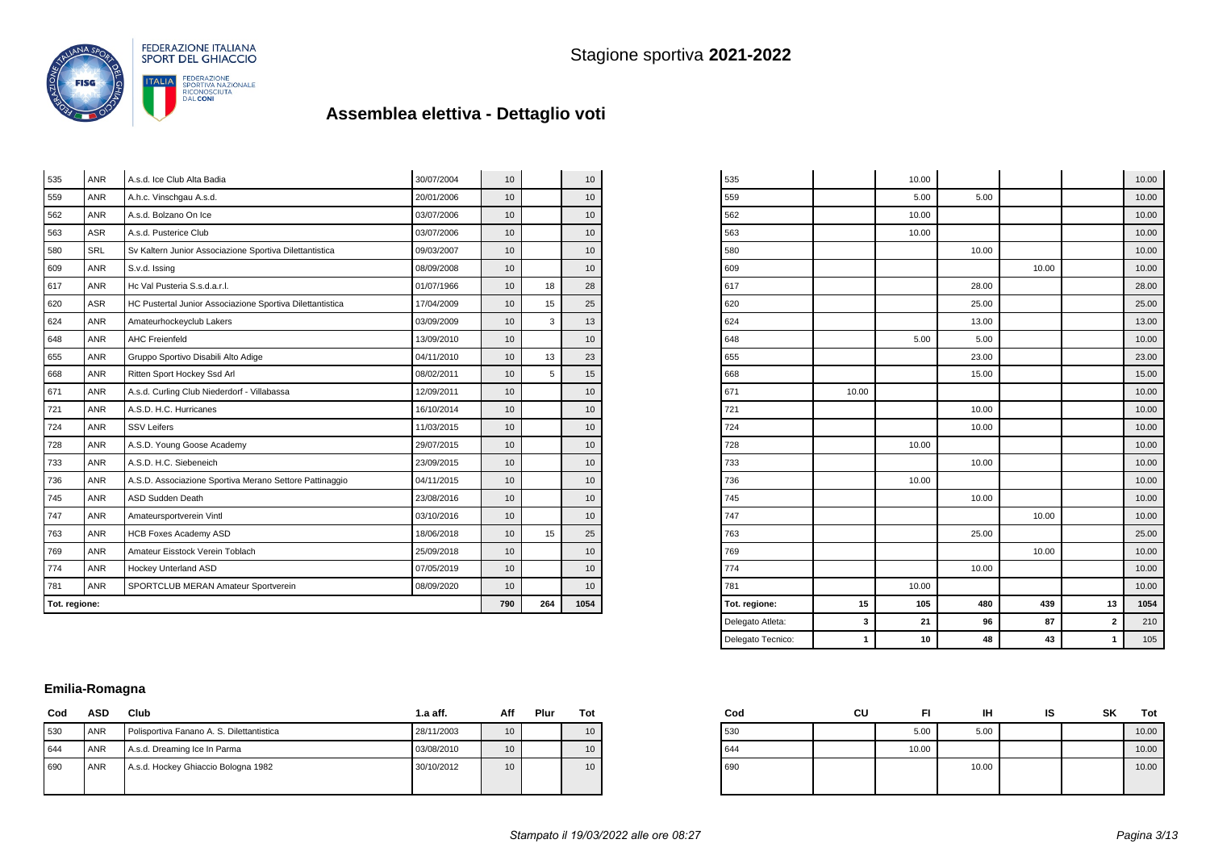

| 535           | <b>ANR</b> | A.s.d. Ice Club Alta Badia                                | 30/07/2004 | 10  |      | 10              |
|---------------|------------|-----------------------------------------------------------|------------|-----|------|-----------------|
| 559           | <b>ANR</b> | A.h.c. Vinschgau A.s.d.                                   | 20/01/2006 | 10  |      | 10              |
| 562           | <b>ANR</b> | A.s.d. Bolzano On Ice                                     | 03/07/2006 | 10  |      | 10 <sup>1</sup> |
| 563           | <b>ASR</b> | A.s.d. Pusterice Club                                     | 03/07/2006 | 10  |      | 10              |
| 580           | <b>SRL</b> | Sv Kaltern Junior Associazione Sportiva Dilettantistica   | 09/03/2007 | 10  |      | 10              |
| 609           | <b>ANR</b> | S.v.d. Issing                                             | 08/09/2008 | 10  |      | 10              |
| 617           | <b>ANR</b> | Hc Val Pusteria S.s.d.a.r.l.                              | 01/07/1966 | 10  | 18   | 28              |
| 620           | <b>ASR</b> | HC Pustertal Junior Associazione Sportiva Dilettantistica | 17/04/2009 | 10  | 15   | 25              |
| 624           | <b>ANR</b> | Amateurhockeyclub Lakers                                  | 03/09/2009 | 10  | 3    | 13              |
| 648           | <b>ANR</b> | <b>AHC Freienfeld</b>                                     | 13/09/2010 | 10  |      | 10              |
| 655           | <b>ANR</b> | Gruppo Sportivo Disabili Alto Adige                       | 04/11/2010 | 10  | 13   | 23              |
| 668           | <b>ANR</b> | Ritten Sport Hockey Ssd Arl                               | 08/02/2011 | 10  | 5    | 15              |
| 671           | <b>ANR</b> | A.s.d. Curling Club Niederdorf - Villabassa<br>12/09/2011 |            | 10  |      | 10 <sup>°</sup> |
| 721           | <b>ANR</b> | A.S.D. H.C. Hurricanes                                    | 16/10/2014 | 10  |      | 10 <sup>°</sup> |
| 724           | <b>ANR</b> | <b>SSV Leifers</b>                                        | 11/03/2015 | 10  |      | 10 <sup>°</sup> |
| 728           | <b>ANR</b> | A.S.D. Young Goose Academy                                | 29/07/2015 | 10  |      | 10 <sup>°</sup> |
| 733           | <b>ANR</b> | A.S.D. H.C. Siebeneich                                    | 23/09/2015 | 10  |      | 10 <sup>°</sup> |
| 736           | <b>ANR</b> | A.S.D. Associazione Sportiva Merano Settore Pattinaggio   | 04/11/2015 | 10  |      | 10              |
| 745           | <b>ANR</b> | ASD Sudden Death                                          | 23/08/2016 | 10  |      | 10 <sup>1</sup> |
| 747           | <b>ANR</b> | Amateursportverein Vintl                                  | 03/10/2016 | 10  |      | 10              |
| 763           | <b>ANR</b> | <b>HCB Foxes Academy ASD</b>                              | 18/06/2018 | 10  | 15   | 25              |
| 769           | <b>ANR</b> | Amateur Eisstock Verein Toblach                           | 25/09/2018 | 10  |      | 10              |
| 774           | <b>ANR</b> | Hockey Unterland ASD                                      | 07/05/2019 | 10  |      | 10              |
| 781           | <b>ANR</b> | SPORTCLUB MERAN Amateur Sportverein                       | 08/09/2020 | 10  |      | 10              |
| Tot. regione: |            |                                                           | 790        | 264 | 1054 |                 |

| 535               |       | 10.00 |       |       |                         | 10.00 |
|-------------------|-------|-------|-------|-------|-------------------------|-------|
| 559               |       | 5.00  | 5.00  |       |                         | 10.00 |
| 562               |       | 10.00 |       |       |                         | 10.00 |
| 563               |       | 10.00 |       |       |                         | 10.00 |
| 580               |       |       | 10.00 |       |                         | 10.00 |
| 609               |       |       |       | 10.00 |                         | 10.00 |
| 617               |       |       | 28.00 |       |                         | 28.00 |
| 620               |       |       | 25.00 |       |                         | 25.00 |
| 624               |       |       | 13.00 |       |                         | 13.00 |
| 648               |       | 5.00  | 5.00  |       |                         | 10.00 |
| 655               |       |       | 23.00 |       |                         | 23.00 |
| 668               |       |       | 15.00 |       |                         | 15.00 |
| 671               | 10.00 |       |       |       |                         | 10.00 |
| 721               |       |       | 10.00 |       |                         | 10.00 |
| 724               |       |       | 10.00 |       |                         | 10.00 |
| 728               |       | 10.00 |       |       |                         | 10.00 |
| 733               |       |       | 10.00 |       |                         | 10.00 |
| 736               |       | 10.00 |       |       |                         | 10.00 |
| 745               |       |       | 10.00 |       |                         | 10.00 |
| 747               |       |       |       | 10.00 |                         | 10.00 |
| 763               |       |       | 25.00 |       |                         | 25.00 |
| 769               |       |       |       | 10.00 |                         | 10.00 |
| 774               |       |       | 10.00 |       |                         | 10.00 |
| 781               |       | 10.00 |       |       |                         | 10.00 |
| Tot. regione:     | 15    | 105   | 480   | 439   | 13                      | 1054  |
| Delegato Atleta:  | 3     | 21    | 96    | 87    | $\overline{\mathbf{c}}$ | 210   |
| Delegato Tecnico: | 1     | 10    | 48    | 43    | 1                       | 105   |

#### **Emilia-Romagna**

| Cod | ASD        | Club                                      | $1.a$ aff. | Aff             | Plur | Tot |
|-----|------------|-------------------------------------------|------------|-----------------|------|-----|
| 530 | <b>ANR</b> | Polisportiva Fanano A. S. Dilettantistica | 28/11/2003 | 10 <sup>°</sup> |      | 10  |
| 644 | ANR        | A.s.d. Dreaming Ice In Parma              | 03/08/2010 | 10              |      | 10  |
| 690 | <b>ANR</b> | A.s.d. Hockey Ghiaccio Bologna 1982       | 30/10/2012 | 10 <sup>°</sup> |      | 10  |
|     |            |                                           |            |                 |      |     |

| Cod | cu |       | ін    | IS | SK | Tot   |
|-----|----|-------|-------|----|----|-------|
| 530 |    | 5.00  | 5.00  |    |    | 10.00 |
| 644 |    | 10.00 |       |    |    | 10.00 |
| 690 |    |       | 10.00 |    |    | 10.00 |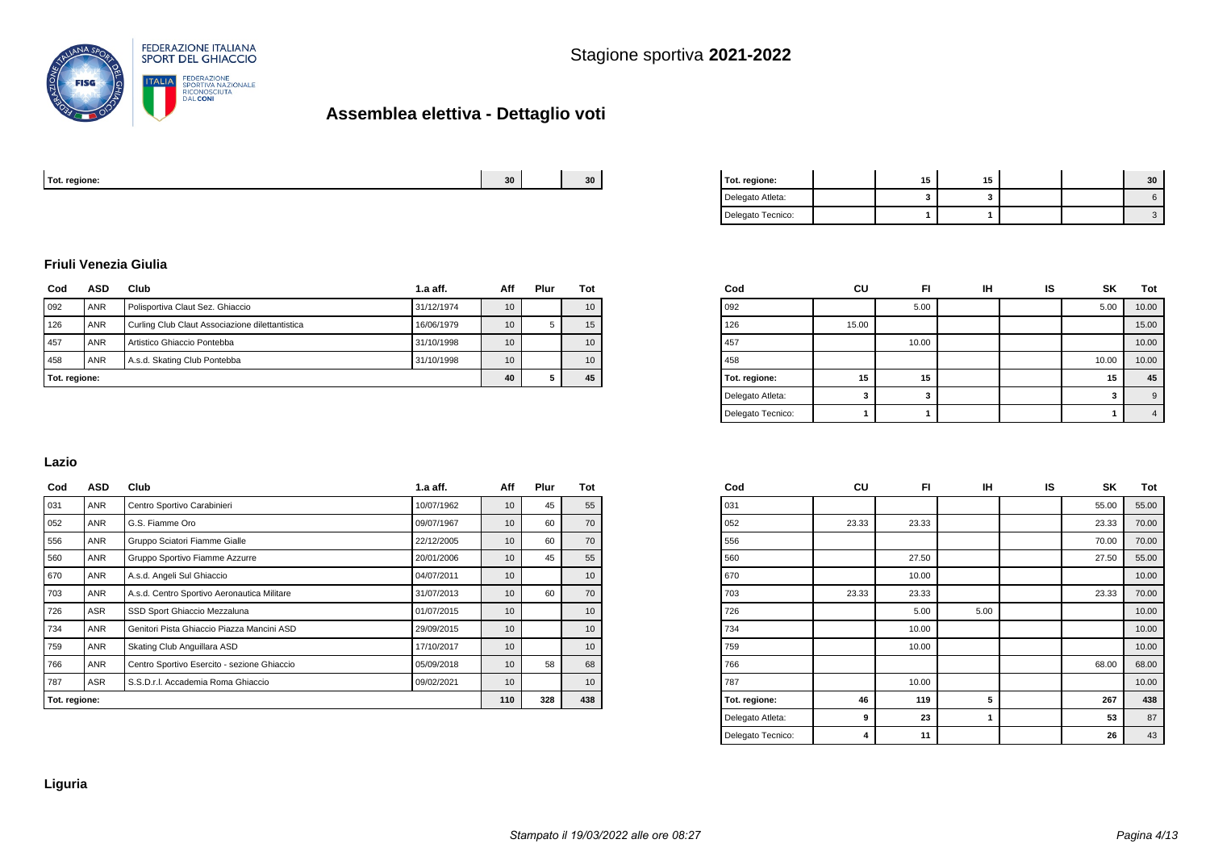

| Tot. regione. | 30 | 30 <sup>2</sup><br>-- | regione.<br>. |  | . . |  |  |
|---------------|----|-----------------------|---------------|--|-----|--|--|
|               |    |                       |               |  |     |  |  |

| Tot. regione:     | 15 | 15 |  | 30 |
|-------------------|----|----|--|----|
| Delegato Atleta:  |    |    |  |    |
| Delegato Tecnico: |    |    |  |    |

#### **Friuli Venezia Giulia**

| Cod | ASD           | Club                                            | Aff        | Plur            | Tot |    |
|-----|---------------|-------------------------------------------------|------------|-----------------|-----|----|
| 092 | <b>ANR</b>    | Polisportiva Claut Sez. Ghiaccio                | 31/12/1974 | 10              |     | 10 |
| 126 | <b>ANR</b>    | Curling Club Claut Associazione dilettantistica | 16/06/1979 | 10 <sup>°</sup> | 5   | 15 |
| 457 | ANR           | Artistico Ghiaccio Pontebba                     | 31/10/1998 | 10              |     | 10 |
| 458 | <b>ANR</b>    | A.s.d. Skating Club Pontebba                    | 31/10/1998 | 10              |     | 10 |
|     | Tot. regione: |                                                 |            |                 |     | 45 |

| Cod               | CU    | FI    | IΗ | IS | <b>SK</b> | Tot   |
|-------------------|-------|-------|----|----|-----------|-------|
| 092               |       | 5.00  |    |    | 5.00      | 10.00 |
| 126               | 15.00 |       |    |    |           | 15.00 |
| 457               |       | 10.00 |    |    |           | 10.00 |
| 458               |       |       |    |    | 10.00     | 10.00 |
| Tot. regione:     | 15    | 15    |    |    | 15        | 45    |
| Delegato Atleta:  | 3     | 3     |    |    | 3         | 9     |
| Delegato Tecnico: |       |       |    |    |           | 4     |

#### **Lazio**

| Cod           | <b>ASD</b> | Club<br>$1.a$ aff.                          |            | Aff | Plur | Tot |
|---------------|------------|---------------------------------------------|------------|-----|------|-----|
| 031           | ANR        | Centro Sportivo Carabinieri                 | 10/07/1962 | 10  | 45   | 55  |
| 052           | <b>ANR</b> | G.S. Fiamme Oro                             | 09/07/1967 |     |      |     |
| 556           | ANR        | Gruppo Sciatori Fiamme Gialle               | 22/12/2005 | 10  | 60   | 70  |
| 560           | ANR        | Gruppo Sportivo Fiamme Azzurre              | 20/01/2006 | 10  | 45   | 55  |
| 670           | ANR        | A.s.d. Angeli Sul Ghiaccio                  | 04/07/2011 | 10  |      | 10  |
| 703           | ANR        | A.s.d. Centro Sportivo Aeronautica Militare | 31/07/2013 | 10  | 60   | 70  |
| 726           | ASR        | SSD Sport Ghiaccio Mezzaluna                | 01/07/2015 | 10  |      | 10  |
| 734           | ANR        | Genitori Pista Ghiaccio Piazza Mancini ASD  | 29/09/2015 | 10  |      | 10  |
| 759           | ANR        | Skating Club Anguillara ASD                 | 17/10/2017 | 10  |      | 10  |
| 766           | ANR        | Centro Sportivo Esercito - sezione Ghiaccio | 05/09/2018 | 10  | 58   | 68  |
| 787           | ASR        | S.S.D.r.I. Accademia Roma Ghiaccio          | 09/02/2021 | 10  |      | 10  |
| Tot. regione: |            |                                             |            |     | 328  | 438 |

| Cod               | CU    | FI    | IН   | IS | SΚ    | Tot   |
|-------------------|-------|-------|------|----|-------|-------|
| 031               |       |       |      |    | 55.00 | 55.00 |
| 052               | 23.33 | 23.33 |      |    | 23.33 | 70.00 |
| 556               |       |       |      |    | 70.00 | 70.00 |
| 560               |       | 27.50 |      |    | 27.50 | 55.00 |
| 670               |       | 10.00 |      |    |       | 10.00 |
| 703               | 23.33 | 23.33 |      |    | 23.33 | 70.00 |
| 726               |       | 5.00  | 5.00 |    |       | 10.00 |
| 734               |       | 10.00 |      |    |       | 10.00 |
| 759               |       | 10.00 |      |    |       | 10.00 |
| 766               |       |       |      |    | 68.00 | 68.00 |
| 787               |       | 10.00 |      |    |       | 10.00 |
| Tot. regione:     | 46    | 119   | 5    |    | 267   | 438   |
| Delegato Atleta:  | 9     | 23    | 1    |    | 53    | 87    |
| Delegato Tecnico: | 4     | 11    |      |    | 26    | 43    |
|                   |       |       |      |    |       |       |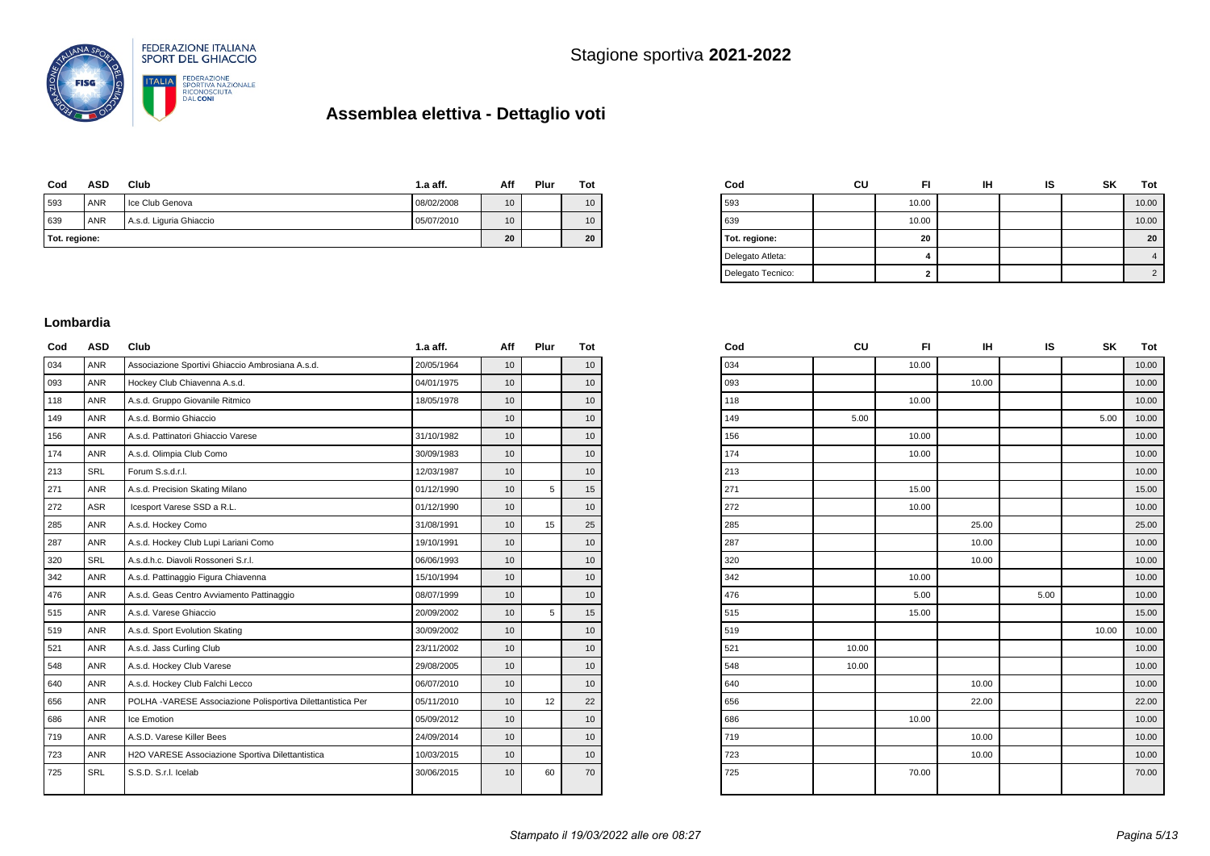

| Cod           | <b>ASD</b> | Club                    | 1.a aff.   | Aff             | Plur | Tot |
|---------------|------------|-------------------------|------------|-----------------|------|-----|
| 593           | ANR        | Ice Club Genova         | 08/02/2008 | 10 <sup>1</sup> |      | 10  |
| 639           | ANR        | A.s.d. Liguria Ghiaccio | 05/07/2010 | 10 <sup>1</sup> |      | 10  |
| Tot. regione: |            | 20                      |            | 20              |      |     |

| Cod               | CU | FI    | ін | ıs | <b>SK</b> | Tot            |
|-------------------|----|-------|----|----|-----------|----------------|
| 593               |    | 10.00 |    |    |           | 10.00          |
| 639               |    | 10.00 |    |    |           | 10.00          |
| Tot. regione:     |    | 20    |    |    |           | 20             |
| Delegato Atleta:  |    | 4     |    |    |           | 4              |
| Delegato Tecnico: |    | 2     |    |    |           | $\overline{2}$ |

#### **Lombardia**

| Cod | ASD        | Club                                                        | $1.a$ aff. | Aff             | Plur | Tot             |
|-----|------------|-------------------------------------------------------------|------------|-----------------|------|-----------------|
| 034 | <b>ANR</b> | Associazione Sportivi Ghiaccio Ambrosiana A.s.d.            | 20/05/1964 | 10              |      | 10              |
| 093 | <b>ANR</b> | Hockey Club Chiavenna A.s.d.                                | 04/01/1975 | 10              |      | 10              |
| 118 | <b>ANR</b> | A.s.d. Gruppo Giovanile Ritmico                             | 18/05/1978 | 10              |      | 10 <sup>1</sup> |
| 149 | <b>ANR</b> | A.s.d. Bormio Ghiaccio                                      |            | 10              |      | 10 <sup>1</sup> |
| 156 | <b>ANR</b> | A.s.d. Pattinatori Ghiaccio Varese                          | 31/10/1982 | 10              |      | 10              |
| 174 | <b>ANR</b> | A.s.d. Olimpia Club Como                                    | 30/09/1983 | 10              |      | 10              |
| 213 | <b>SRL</b> | Forum S.s.d.r.l.                                            | 12/03/1987 | 10              |      | 10              |
| 271 | <b>ANR</b> | A.s.d. Precision Skating Milano                             | 01/12/1990 | 10              | 5    | 15              |
| 272 | <b>ASR</b> | Icesport Varese SSD a R.L.                                  | 01/12/1990 | 10              |      | 10              |
| 285 | <b>ANR</b> | A.s.d. Hockey Como                                          | 31/08/1991 | 10 <sup>1</sup> | 15   | 25              |
| 287 | <b>ANR</b> | A.s.d. Hockey Club Lupi Lariani Como                        | 19/10/1991 | 10 <sup>1</sup> |      | 10 <sup>1</sup> |
| 320 | <b>SRL</b> | A.s.d.h.c. Diavoli Rossoneri S.r.l.                         | 06/06/1993 | 10              |      | 10              |
| 342 | <b>ANR</b> | A.s.d. Pattinaggio Figura Chiavenna                         | 15/10/1994 | 10              |      | 10              |
| 476 | <b>ANR</b> | A.s.d. Geas Centro Avviamento Pattinaggio                   | 08/07/1999 | 10              |      | 10              |
| 515 | <b>ANR</b> | A.s.d. Varese Ghiaccio                                      | 20/09/2002 | 10              | 5    | 15              |
| 519 | <b>ANR</b> | A.s.d. Sport Evolution Skating                              | 30/09/2002 | 10              |      | 10              |
| 521 | <b>ANR</b> | A.s.d. Jass Curling Club                                    | 23/11/2002 | 10              |      | 10              |
| 548 | <b>ANR</b> | A.s.d. Hockey Club Varese                                   | 29/08/2005 | 10              |      | 10              |
| 640 | <b>ANR</b> | A.s.d. Hockey Club Falchi Lecco                             | 06/07/2010 | 10              |      | 10              |
| 656 | <b>ANR</b> | POLHA -VARESE Associazione Polisportiva Dilettantistica Per | 05/11/2010 | 10              | 12   | 22              |
| 686 | <b>ANR</b> | Ice Emotion                                                 | 05/09/2012 | 10              |      | 10 <sup>1</sup> |
| 719 | <b>ANR</b> | A.S.D. Varese Killer Bees                                   | 24/09/2014 | 10              |      | 10              |
| 723 | <b>ANR</b> | H2O VARESE Associazione Sportiva Dilettantistica            | 10/03/2015 | 10              |      | 10              |
| 725 | <b>SRL</b> | S.S.D. S.r.I. Icelab                                        | 30/06/2015 | 10 <sup>1</sup> | 60   | 70              |
|     |            |                                                             |            |                 |      |                 |

| Cod | CU    | FI.   | IH    | IS   | SK    | Tot   |
|-----|-------|-------|-------|------|-------|-------|
| 034 |       | 10.00 |       |      |       | 10.00 |
| 093 |       |       | 10.00 |      |       | 10.00 |
| 118 |       | 10.00 |       |      |       | 10.00 |
| 149 | 5.00  |       |       |      | 5.00  | 10.00 |
| 156 |       | 10.00 |       |      |       | 10.00 |
| 174 |       | 10.00 |       |      |       | 10.00 |
| 213 |       |       |       |      |       | 10.00 |
| 271 |       | 15.00 |       |      |       | 15.00 |
| 272 |       | 10.00 |       |      |       | 10.00 |
| 285 |       |       | 25.00 |      |       | 25.00 |
| 287 |       |       | 10.00 |      |       | 10.00 |
| 320 |       |       | 10.00 |      |       | 10.00 |
| 342 |       | 10.00 |       |      |       | 10.00 |
| 476 |       | 5.00  |       | 5.00 |       | 10.00 |
| 515 |       | 15.00 |       |      |       | 15.00 |
| 519 |       |       |       |      | 10.00 | 10.00 |
| 521 | 10.00 |       |       |      |       | 10.00 |
| 548 | 10.00 |       |       |      |       | 10.00 |
| 640 |       |       | 10.00 |      |       | 10.00 |
| 656 |       |       | 22.00 |      |       | 22.00 |
| 686 |       | 10.00 |       |      |       | 10.00 |
| 719 |       |       | 10.00 |      |       | 10.00 |
| 723 |       |       | 10.00 |      |       | 10.00 |
| 725 |       | 70.00 |       |      |       | 70.00 |
|     |       |       |       |      |       |       |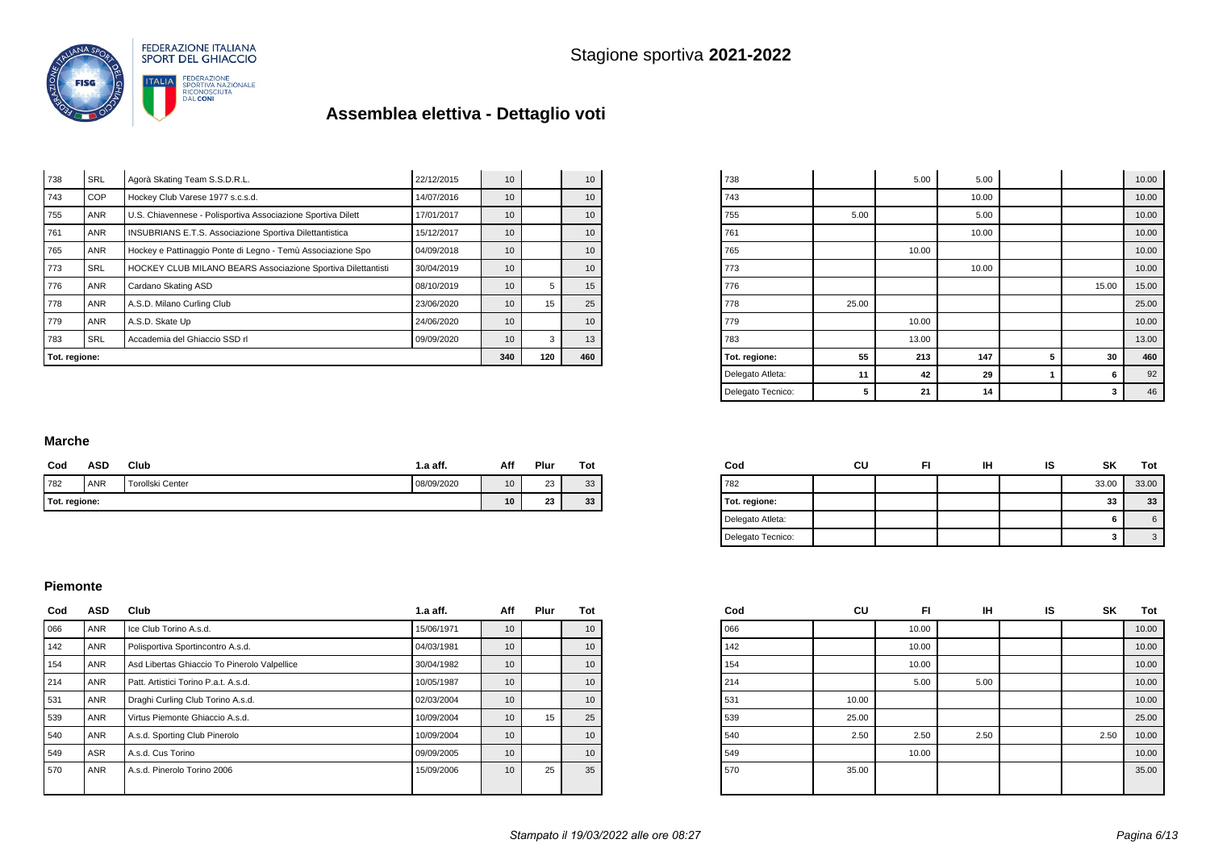

| Tot. regione: |            |                                                              |            | 340 | 120 | 460             |
|---------------|------------|--------------------------------------------------------------|------------|-----|-----|-----------------|
| 783           | <b>SRL</b> | Accademia del Ghiaccio SSD rl                                | 09/09/2020 | 10  | 3   | 13              |
| 779           | <b>ANR</b> | A.S.D. Skate Up                                              | 24/06/2020 | 10  |     | 10              |
| 778           | ANR        | A.S.D. Milano Curling Club                                   | 23/06/2020 | 10  | 15  | 25              |
| 776           | <b>ANR</b> | Cardano Skating ASD                                          | 08/10/2019 | 10  | 5   | 15              |
| 773           | <b>SRL</b> | HOCKEY CLUB MILANO BEARS Associazione Sportiva Dilettantisti | 30/04/2019 | 10  |     | 10 <sup>°</sup> |
| 765           | <b>ANR</b> | Hockey e Pattinaggio Ponte di Legno - Temù Associazione Spo  | 04/09/2018 | 10  |     | 10              |
| 761           | <b>ANR</b> | INSUBRIANS E.T.S. Associazione Sportiva Dilettantistica      | 15/12/2017 | 10  |     | 10 <sup>°</sup> |
| 755           | ANR        | U.S. Chiavennese - Polisportiva Associazione Sportiva Dilett | 17/01/2017 | 10  |     | 10 <sup>°</sup> |
| 743           | <b>COP</b> | Hockey Club Varese 1977 s.c.s.d.                             | 14/07/2016 | 10  |     | 10 <sup>°</sup> |
| 738           | <b>SRL</b> | Agorà Skating Team S.S.D.R.L.                                | 22/12/2015 | 10  |     | 10 <sup>°</sup> |

| 738               |       | 5.00  | 5.00  |   |       | 10.00 |
|-------------------|-------|-------|-------|---|-------|-------|
| 743               |       |       | 10.00 |   |       | 10.00 |
| 755               | 5.00  |       | 5.00  |   |       | 10.00 |
| 761               |       |       | 10.00 |   |       | 10.00 |
| 765               |       | 10.00 |       |   |       | 10.00 |
| 773               |       |       | 10.00 |   |       | 10.00 |
| 776               |       |       |       |   | 15.00 | 15.00 |
| 778               | 25.00 |       |       |   |       | 25.00 |
| 779               |       | 10.00 |       |   |       | 10.00 |
| 783               |       | 13.00 |       |   |       | 13.00 |
| Tot. regione:     | 55    | 213   | 147   | 5 | 30    | 460   |
| Delegato Atleta:  | 11    | 42    | 29    | 1 | 6     | 92    |
| Delegato Tecnico: | 5     | 21    | 14    |   | 3     | 46    |

#### **Marche**

| Cod           | ASD        | Club                    | $1.a$ aff. | Aff | Plur | Tot |
|---------------|------------|-------------------------|------------|-----|------|-----|
| 782           | <b>ANR</b> | <b>Torollski Center</b> | 08/09/2020 | 10  | 23   | 33  |
| Tot. regione: |            |                         |            |     | 23   | 33  |

| Cod               | CU | іН | ıs | SK    | Tot   |
|-------------------|----|----|----|-------|-------|
| 782               |    |    |    | 33.00 | 33.00 |
| Tot. regione:     |    |    |    | 33    | 33    |
| Delegato Atleta:  |    |    |    | 6     | 6     |
| Delegato Tecnico: |    |    |    | з     | -3    |

#### **Piemonte**

| Cod | <b>ASD</b> | Club                                         | $1.a$ aff. | Aff | Plur | Tot |
|-----|------------|----------------------------------------------|------------|-----|------|-----|
| 066 | <b>ANR</b> | Ice Club Torino A.s.d.                       | 15/06/1971 | 10  |      | 10  |
| 142 | <b>ANR</b> | Polisportiva Sportincontro A.s.d.            | 04/03/1981 | 10  |      | 10  |
| 154 | <b>ANR</b> | Asd Libertas Ghiaccio To Pinerolo Valpellice | 30/04/1982 | 10  |      | 10  |
| 214 | <b>ANR</b> | Patt. Artistici Torino P.a.t. A.s.d.         | 10/05/1987 | 10  |      | 10  |
| 531 | <b>ANR</b> | Draghi Curling Club Torino A.s.d.            | 02/03/2004 | 10  |      | 10  |
| 539 | <b>ANR</b> | Virtus Piemonte Ghiaccio A.s.d.              | 10/09/2004 | 10  | 15   | 25  |
| 540 | <b>ANR</b> | A.s.d. Sporting Club Pinerolo                | 10/09/2004 | 10  |      | 10  |
| 549 | <b>ASR</b> | A.s.d. Cus Torino                            | 09/09/2005 | 10  |      | 10  |
| 570 | <b>ANR</b> | A.s.d. Pinerolo Torino 2006                  | 15/09/2006 | 10  | 25   | 35  |

| Cod | CU    | FI    | <b>IH</b> | IS | SK   | Tot   |
|-----|-------|-------|-----------|----|------|-------|
| 066 |       | 10.00 |           |    |      | 10.00 |
| 142 |       | 10.00 |           |    |      | 10.00 |
| 154 |       | 10.00 |           |    |      | 10.00 |
| 214 |       | 5.00  | 5.00      |    |      | 10.00 |
| 531 | 10.00 |       |           |    |      | 10.00 |
| 539 | 25.00 |       |           |    |      | 25.00 |
| 540 | 2.50  | 2.50  | 2.50      |    | 2.50 | 10.00 |
| 549 |       | 10.00 |           |    |      | 10.00 |
| 570 | 35.00 |       |           |    |      | 35.00 |
|     |       |       |           |    |      |       |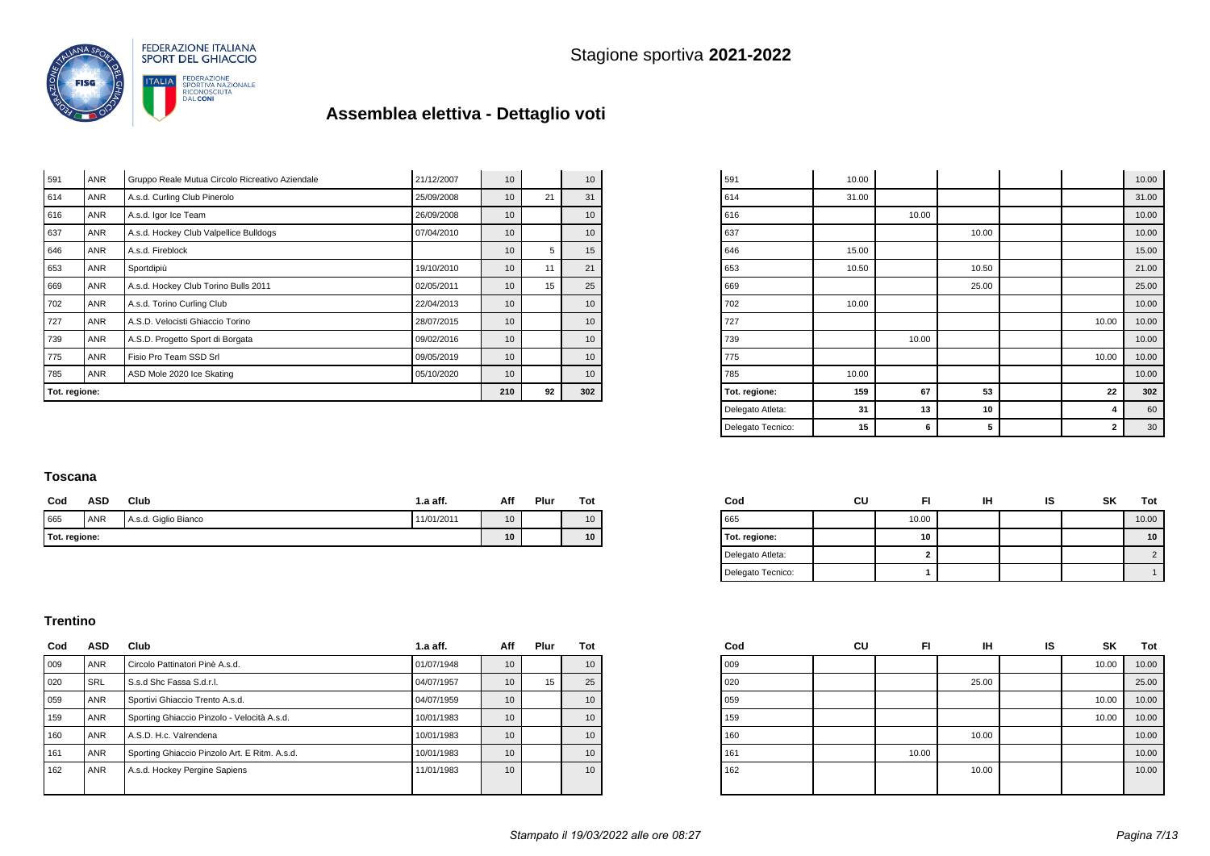

| Tot. regione: |            | 210                                             | 92         | 302             |    |                 |
|---------------|------------|-------------------------------------------------|------------|-----------------|----|-----------------|
| 785           | ANR        | ASD Mole 2020 Ice Skating                       | 05/10/2020 | 10 <sup>1</sup> |    | 10              |
| 775           | <b>ANR</b> | Fisio Pro Team SSD Srl                          | 09/05/2019 | 10              |    | 10              |
| 739           | <b>ANR</b> | A.S.D. Progetto Sport di Borgata                | 09/02/2016 | 10              |    | 10 <sup>1</sup> |
| 727           | <b>ANR</b> | A.S.D. Velocisti Ghiaccio Torino                | 28/07/2015 | 10              |    | 10 <sup>1</sup> |
| 702           | <b>ANR</b> | A.s.d. Torino Curling Club                      | 22/04/2013 | 10              |    | 10 <sup>1</sup> |
| 669           | ANR        | A.s.d. Hockey Club Torino Bulls 2011            | 02/05/2011 | 10              | 15 | 25              |
| 653           | <b>ANR</b> | Sportdipiù                                      | 19/10/2010 | 10              | 11 | 21              |
| 646           | <b>ANR</b> | A.s.d. Fireblock                                |            | 10              | 5  | 15              |
| 637           | <b>ANR</b> | A.s.d. Hockey Club Valpellice Bulldogs          | 07/04/2010 | 10              |    | 10              |
| 616           | <b>ANR</b> | A.s.d. Igor Ice Team                            | 26/09/2008 | 10              |    | 10 <sup>1</sup> |
| 614           | ANR        | A.s.d. Curling Club Pinerolo                    | 25/09/2008 | 10              | 21 | 31              |
| 591           | <b>ANR</b> | Gruppo Reale Mutua Circolo Ricreativo Aziendale | 21/12/2007 | 10              |    | 10              |

| 591               | 10.00 |       |       |              | 10.00 |
|-------------------|-------|-------|-------|--------------|-------|
| 614               | 31.00 |       |       |              | 31.00 |
| 616               |       | 10.00 |       |              | 10.00 |
| 637               |       |       | 10.00 |              | 10.00 |
| 646               | 15.00 |       |       |              | 15.00 |
| 653               | 10.50 |       | 10.50 |              | 21.00 |
| 669               |       |       | 25.00 |              | 25.00 |
| 702               | 10.00 |       |       |              | 10.00 |
| 727               |       |       |       | 10.00        | 10.00 |
| 739               |       | 10.00 |       |              | 10.00 |
| 775               |       |       |       | 10.00        | 10.00 |
| 785               | 10.00 |       |       |              | 10.00 |
| Tot. regione:     | 159   | 67    | 53    | 22           | 302   |
| Delegato Atleta:  | 31    | 13    | 10    | 4            | 60    |
| Delegato Tecnico: | 15    | 6     | 5     | $\mathbf{2}$ | 30    |

#### **Toscana**

| Cod           | ASD        | Club                 | 1.a aff.   | Aff | Plur | Tot |
|---------------|------------|----------------------|------------|-----|------|-----|
| 665           | <b>ANR</b> | A.s.d. Giglio Bianco | 11/01/2011 | 10  |      | 10  |
| Tot. regione: | 10         |                      | 10         |     |      |     |

| Cod               | cu | FI    | іН | ıs | SK | Tot   |
|-------------------|----|-------|----|----|----|-------|
| 665               |    | 10.00 |    |    |    | 10.00 |
| Tot. regione:     |    | 10    |    |    |    | 10    |
| Delegato Atleta:  |    |       |    |    |    |       |
| Delegato Tecnico: |    |       |    |    |    |       |

#### **Trentino**

| Cod | ASD        | Club                                          | $1.a$ aff. | Aff | Plur | Tot |
|-----|------------|-----------------------------------------------|------------|-----|------|-----|
| 009 | ANR        | Circolo Pattinatori Pinè A.s.d.               | 01/07/1948 | 10  |      | 10  |
| 020 | <b>SRL</b> | S.s.d Shc Fassa S.d.r.l.                      | 04/07/1957 | 10  | 15   | 25  |
| 059 | <b>ANR</b> | Sportivi Ghiaccio Trento A.s.d.               | 04/07/1959 | 10  |      | 10  |
| 159 | <b>ANR</b> | Sporting Ghiaccio Pinzolo - Velocità A.s.d.   | 10/01/1983 | 10  |      | 10  |
| 160 | <b>ANR</b> | A.S.D. H.c. Valrendena                        | 10/01/1983 | 10  |      | 10  |
| 161 | <b>ANR</b> | Sporting Ghiaccio Pinzolo Art. E Ritm. A.s.d. | 10/01/1983 | 10  |      | 10  |
| 162 | <b>ANR</b> | A.s.d. Hockey Pergine Sapiens                 | 11/01/1983 | 10  |      | 10  |
|     |            |                                               |            |     |      |     |

| Cod | CU | FI    | IН    | IS | SK    | Tot   |
|-----|----|-------|-------|----|-------|-------|
| 009 |    |       |       |    | 10.00 | 10.00 |
| 020 |    |       | 25.00 |    |       | 25.00 |
| 059 |    |       |       |    | 10.00 | 10.00 |
| 159 |    |       |       |    | 10.00 | 10.00 |
| 160 |    |       | 10.00 |    |       | 10.00 |
| 161 |    | 10.00 |       |    |       | 10.00 |
| 162 |    |       | 10.00 |    |       | 10.00 |
|     |    |       |       |    |       |       |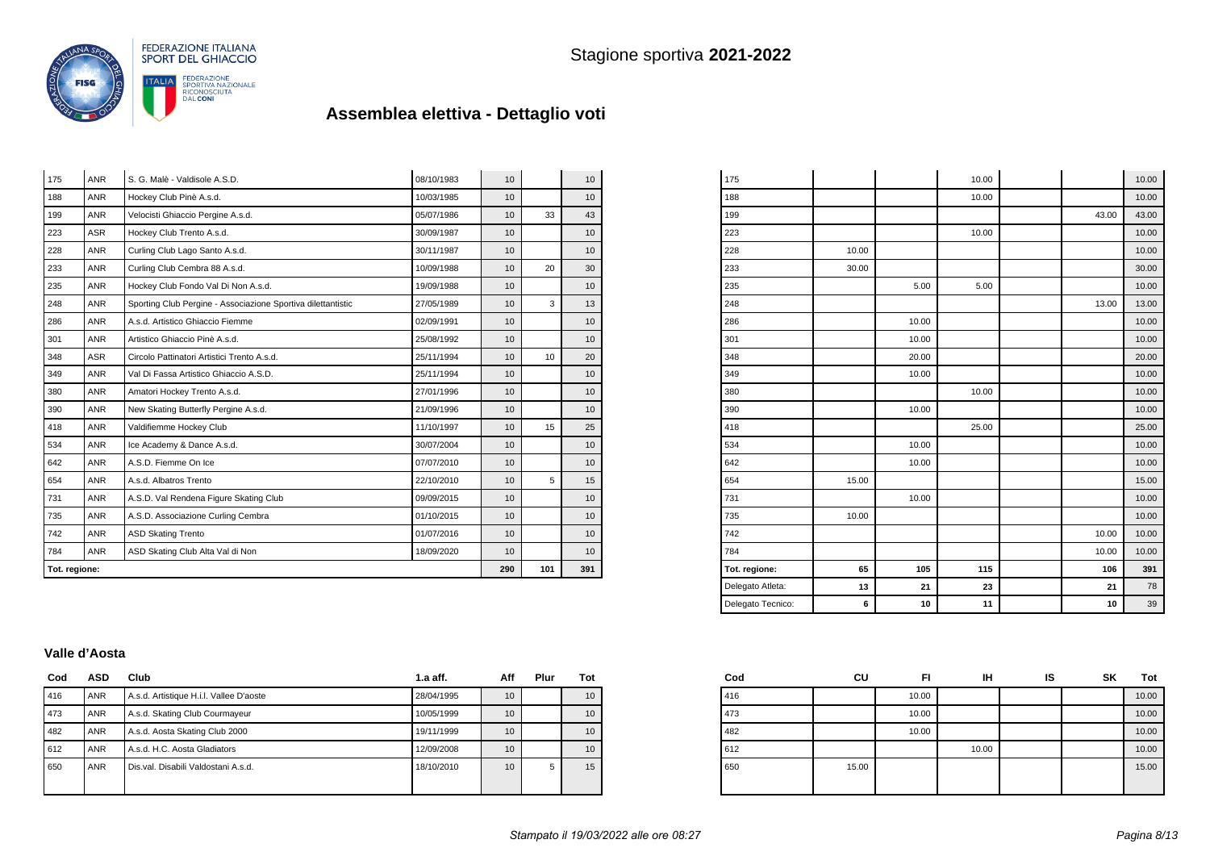

| Tot. regione: |            | 290                                                          | 101        | 391             |    |                  |
|---------------|------------|--------------------------------------------------------------|------------|-----------------|----|------------------|
| 784           | ANR        | ASD Skating Club Alta Val di Non                             | 18/09/2020 | 10              |    | 10               |
| 742           | <b>ANR</b> | <b>ASD Skating Trento</b>                                    | 01/07/2016 | 10 <sup>1</sup> |    | 10               |
| 735           | <b>ANR</b> | A.S.D. Associazione Curling Cembra                           | 01/10/2015 | 10              |    | 10               |
| 731           | <b>ANR</b> | A.S.D. Val Rendena Figure Skating Club                       | 09/09/2015 | 10              |    | 10               |
| 654           | <b>ANR</b> | A.s.d. Albatros Trento                                       | 22/10/2010 | 10              | 5  | 15               |
| 642           | <b>ANR</b> | A.S.D. Fiemme On Ice                                         | 07/07/2010 | 10              |    | 10               |
| 534           | <b>ANR</b> | Ice Academy & Dance A.s.d.                                   | 30/07/2004 | 10 <sup>1</sup> |    | 10               |
| 418           | <b>ANR</b> | Valdifiemme Hockey Club                                      | 11/10/1997 | 10              | 15 | 25               |
| 390           | <b>ANR</b> | New Skating Butterfly Pergine A.s.d.                         | 21/09/1996 | 10 <sup>1</sup> |    | 10               |
| 380           | <b>ANR</b> | Amatori Hockey Trento A.s.d.                                 | 27/01/1996 | 10              |    | 10               |
| 349           | <b>ANR</b> | Val Di Fassa Artistico Ghiaccio A.S.D.                       | 25/11/1994 | 10              |    | 10               |
| 348           | <b>ASR</b> | Circolo Pattinatori Artistici Trento A.s.d.                  | 25/11/1994 | 10              | 10 | 20               |
| 301           | <b>ANR</b> | Artistico Ghiaccio Pinè A.s.d.                               | 25/08/1992 | 10 <sup>1</sup> |    | 10               |
| 286           | <b>ANR</b> | A.s.d. Artistico Ghiaccio Fiemme                             | 02/09/1991 | 10 <sup>1</sup> |    | 10               |
| 248           | <b>ANR</b> | Sporting Club Pergine - Associazione Sportiva dilettantistic | 27/05/1989 | 10              | 3  | 13               |
| 235           | ANR        | Hockey Club Fondo Val Di Non A.s.d.                          | 19/09/1988 | 10              |    | 10 <sup>1</sup>  |
| 233           | <b>ANR</b> | Curling Club Cembra 88 A.s.d.                                | 10/09/1988 |                 |    |                  |
| 228           | <b>ANR</b> | Curling Club Lago Santo A.s.d.                               | 30/11/1987 | 10 <sup>1</sup> |    | 10               |
| 223           | <b>ASR</b> | Hockey Club Trento A.s.d.                                    | 30/09/1987 | 10 <sup>1</sup> |    | 10               |
| 199           | <b>ANR</b> | Velocisti Ghiaccio Pergine A.s.d.                            | 05/07/1986 | 10              | 33 | 43               |
| 188           | <b>ANR</b> | Hockey Club Pinè A.s.d.                                      | 10/03/1985 | 10              |    | 10 <sup>10</sup> |
| 175           | <b>ANR</b> | S. G. Malè - Valdisole A.S.D.                                | 08/10/1983 | 10              |    | 10               |

| Delegato Tecnico: | 6     | 10    | 11    | 10    | 39    |
|-------------------|-------|-------|-------|-------|-------|
| Delegato Atleta:  | 13    | 21    | 23    | 21    | 78    |
| Tot. regione:     | 65    | 105   | 115   | 106   | 391   |
| 784               |       |       |       | 10.00 | 10.00 |
| 742               |       |       |       | 10.00 | 10.00 |
| 735               | 10.00 |       |       |       | 10.00 |
| 731               |       | 10.00 |       |       | 10.00 |
| 654               | 15.00 |       |       |       | 15.00 |
| 642               |       | 10.00 |       |       | 10.00 |
| 534               |       | 10.00 |       |       | 10.00 |
| 418               |       |       | 25.00 |       | 25.00 |
| 390               |       | 10.00 |       |       | 10.00 |
| 380               |       |       | 10.00 |       | 10.00 |
| 349               |       | 10.00 |       |       | 10.00 |
| 348               |       | 20.00 |       |       | 20.00 |
| 301               |       | 10.00 |       |       | 10.00 |
| 286               |       | 10.00 |       |       | 10.00 |
| 248               |       |       |       | 13.00 | 13.00 |
| 235               |       | 5.00  | 5.00  |       | 10.00 |
| 233               | 30.00 |       |       |       | 30.00 |
| 228               | 10.00 |       |       |       | 10.00 |
| 223               |       |       | 10.00 |       | 10.00 |
| 199               |       |       |       | 43.00 | 43.00 |
| 188               |       |       | 10.00 |       | 10.00 |
| 175               |       |       | 10.00 |       | 10.00 |

 $\overline{a}$ 

#### **Valle d'Aosta**

| Cod | <b>ASD</b> | Club                                    | $1.a$ aff. | Aff              | Plur | Tot |
|-----|------------|-----------------------------------------|------------|------------------|------|-----|
| 416 | <b>ANR</b> | A.s.d. Artistique H.i.l. Vallee D'aoste | 28/04/1995 | 10 <sup>10</sup> |      | 10  |
| 473 | <b>ANR</b> | A.s.d. Skating Club Courmayeur          | 10/05/1999 | 10               |      | 10  |
| 482 | <b>ANR</b> | A.s.d. Aosta Skating Club 2000          | 19/11/1999 | 10 <sup>10</sup> |      | 10  |
| 612 | <b>ANR</b> | A.s.d. H.C. Aosta Gladiators            | 12/09/2008 | 10               |      | 10  |
| 650 | <b>ANR</b> | Dis.val. Disabili Valdostani A.s.d.     | 18/10/2010 | 10               | 5    | 15  |
|     |            |                                         |            |                  |      |     |

| Cod | CU    | FI    | IΗ    | IS | SK | <b>Tot</b> |
|-----|-------|-------|-------|----|----|------------|
| 416 |       | 10.00 |       |    |    | 10.00      |
| 473 |       | 10.00 |       |    |    | 10.00      |
| 482 |       | 10.00 |       |    |    | 10.00      |
| 612 |       |       | 10.00 |    |    | 10.00      |
| 650 | 15.00 |       |       |    |    | 15.00      |
|     |       |       |       |    |    |            |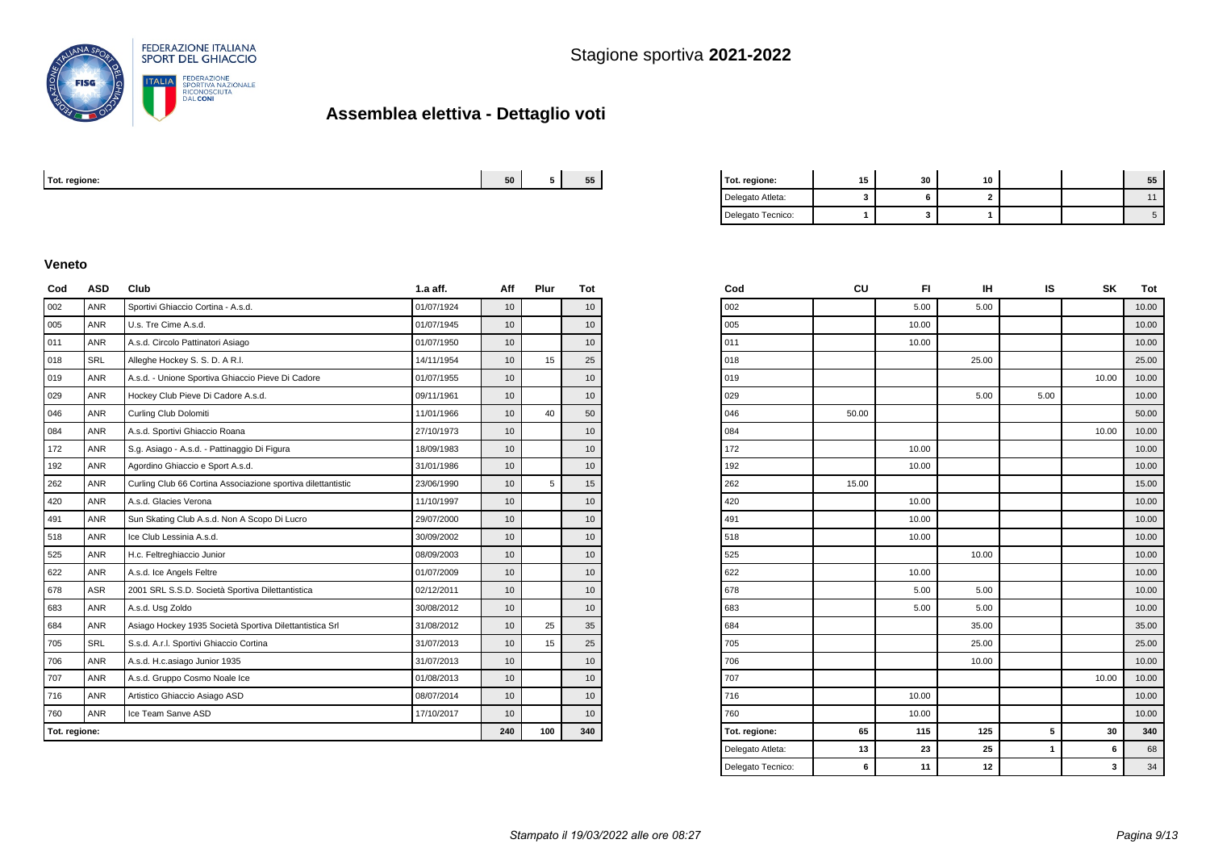

| Tot. regione: | --<br>cn. | $- -$<br>- - - - | enm | $ -$<br>. .<br>-311 | . .<br>10 |  |  |
|---------------|-----------|------------------|-----|---------------------|-----------|--|--|
|               |           |                  |     |                     |           |  |  |

| Tot. regione:     | 15 | 30 | 10 |  | 55 |
|-------------------|----|----|----|--|----|
| Delegato Atleta:  |    |    |    |  |    |
| Delegato Tecnico: |    |    |    |  |    |

#### **Veneto**

| Cod           | <b>ASD</b> | Club                                                         | $1.a$ aff. | Aff             | Plur | Tot              |
|---------------|------------|--------------------------------------------------------------|------------|-----------------|------|------------------|
| 002           | <b>ANR</b> | Sportivi Ghiaccio Cortina - A.s.d.                           | 01/07/1924 | 10              |      | 10               |
| 005           | <b>ANR</b> | U.s. Tre Cime A.s.d.                                         | 01/07/1945 | 10              |      | 10               |
| 011           | <b>ANR</b> | A.s.d. Circolo Pattinatori Asiago                            | 01/07/1950 | 10              |      | 10               |
| 018           | <b>SRL</b> | Alleghe Hockey S. S. D. A R.I.                               | 14/11/1954 | 10              | 15   | 25               |
| 019           | <b>ANR</b> | A.s.d. - Unione Sportiva Ghiaccio Pieve Di Cadore            | 01/07/1955 | 10              |      | 10               |
| 029           | <b>ANR</b> | Hockey Club Pieve Di Cadore A.s.d.                           | 09/11/1961 | 10              |      | 10               |
| 046           | <b>ANR</b> | Curling Club Dolomiti                                        | 11/01/1966 | 10              | 40   | 50               |
| 084           | <b>ANR</b> | A.s.d. Sportivi Ghiaccio Roana                               | 27/10/1973 | 10              |      | 10 <sup>°</sup>  |
| 172           | <b>ANR</b> | S.g. Asiago - A.s.d. - Pattinaggio Di Figura                 | 18/09/1983 | 10              |      | 10 <sup>10</sup> |
| 192           | <b>ANR</b> | Agordino Ghiaccio e Sport A.s.d.                             | 31/01/1986 | 10              |      | 10               |
| 262           | <b>ANR</b> | Curling Club 66 Cortina Associazione sportiva dilettantistic | 23/06/1990 | 10              | 5    | 15               |
| 420           | <b>ANR</b> | A.s.d. Glacies Verona                                        | 11/10/1997 | 10              |      | 10               |
| 491           | <b>ANR</b> | Sun Skating Club A.s.d. Non A Scopo Di Lucro                 | 29/07/2000 | 10              |      | 10               |
| 518           | <b>ANR</b> | Ice Club Lessinia A.s.d.                                     | 30/09/2002 | 10              |      | 10               |
| 525           | <b>ANR</b> | H.c. Feltreghiaccio Junior                                   | 08/09/2003 | 10              |      | 10 <sup>°</sup>  |
| 622           | <b>ANR</b> | A.s.d. Ice Angels Feltre                                     | 01/07/2009 | 10              |      | 10               |
| 678           | ASR        | 2001 SRL S.S.D. Società Sportiva Dilettantistica             | 02/12/2011 | 10              |      | 10               |
| 683           | <b>ANR</b> | A.s.d. Usg Zoldo                                             | 30/08/2012 | 10              |      | 10               |
| 684           | <b>ANR</b> | Asiago Hockey 1935 Società Sportiva Dilettantistica Srl      | 31/08/2012 | 10              | 25   | 35               |
| 705           | <b>SRL</b> | S.s.d. A.r.l. Sportivi Ghiaccio Cortina                      | 31/07/2013 | 10              | 15   | 25               |
| 706           | <b>ANR</b> | A.s.d. H.c.asiago Junior 1935                                | 31/07/2013 | 10              |      | 10               |
| 707           | <b>ANR</b> | A.s.d. Gruppo Cosmo Noale Ice                                | 01/08/2013 | 10 <sup>1</sup> |      | 10               |
| 716           | <b>ANR</b> | Artistico Ghiaccio Asiago ASD                                | 08/07/2014 | 10              |      | 10               |
| 760           | <b>ANR</b> | Ice Team Sanve ASD                                           | 17/10/2017 | 10              |      | 10 <sup>1</sup>  |
| Tot. regione: |            |                                                              | 240        | 100             | 340  |                  |

| CU    | FI    | IН    | IS   | SΚ    | Tot   |
|-------|-------|-------|------|-------|-------|
|       | 5.00  | 5.00  |      |       | 10.00 |
|       | 10.00 |       |      |       | 10.00 |
|       | 10.00 |       |      |       | 10.00 |
|       |       | 25.00 |      |       | 25.00 |
|       |       |       |      | 10.00 | 10.00 |
|       |       | 5.00  | 5.00 |       | 10.00 |
| 50.00 |       |       |      |       | 50.00 |
|       |       |       |      | 10.00 | 10.00 |
|       | 10.00 |       |      |       | 10.00 |
|       | 10.00 |       |      |       | 10.00 |
| 15.00 |       |       |      |       | 15.00 |
|       | 10.00 |       |      |       | 10.00 |
|       | 10.00 |       |      |       | 10.00 |
|       | 10.00 |       |      |       | 10.00 |
|       |       | 10.00 |      |       | 10.00 |
|       | 10.00 |       |      |       | 10.00 |
|       | 5.00  | 5.00  |      |       | 10.00 |
|       | 5.00  | 5.00  |      |       | 10.00 |
|       |       | 35.00 |      |       | 35.00 |
|       |       | 25.00 |      |       | 25.00 |
|       |       | 10.00 |      |       | 10.00 |
|       |       |       |      | 10.00 | 10.00 |
|       | 10.00 |       |      |       | 10.00 |
|       | 10.00 |       |      |       | 10.00 |
| 65    | 115   | 125   | 5    | 30    | 340   |
| 13    | 23    | 25    | 1    | 6     | 68    |
| 6     | 11    | 12    |      | 3     | 34    |
|       |       |       |      |       |       |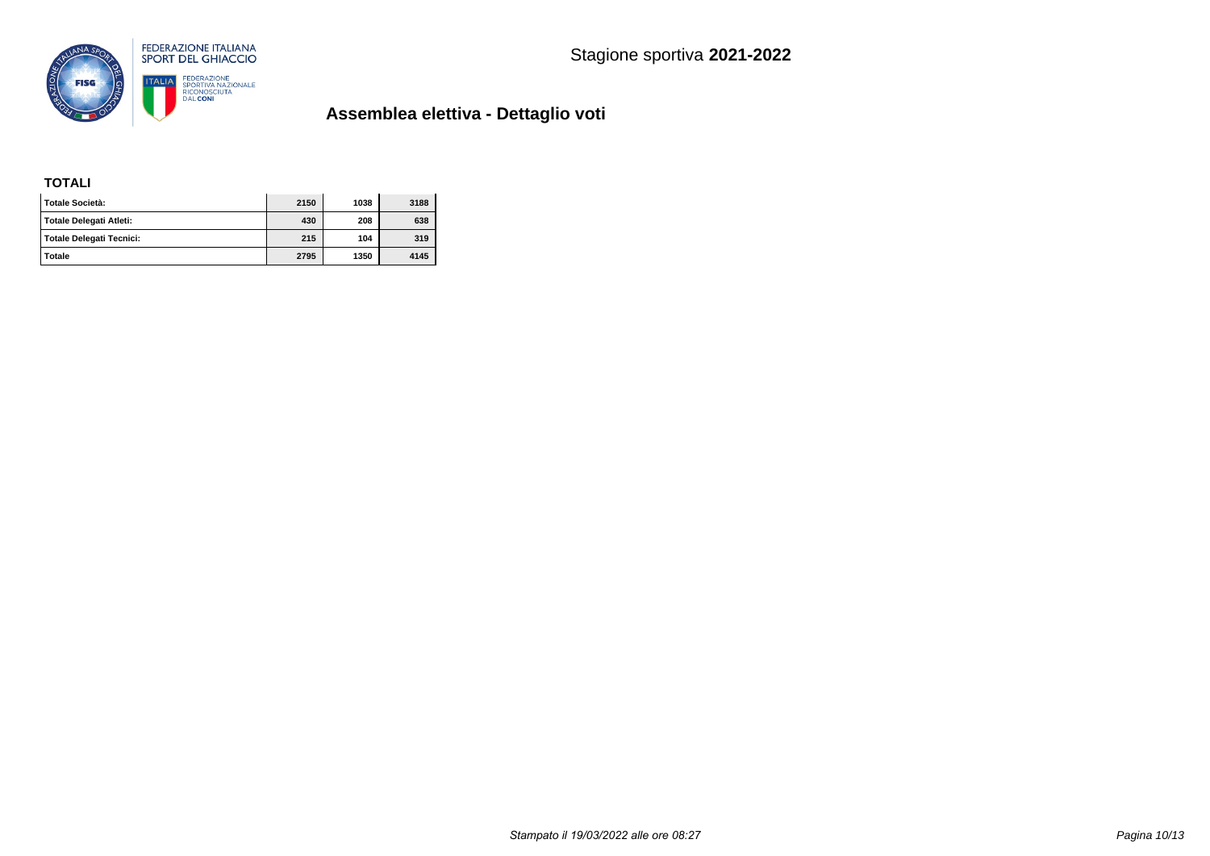

### **TOTALI**

| l Totale Società:        | 2150 | 1038 | 3188 |
|--------------------------|------|------|------|
| Totale Delegati Atleti:  | 430  | 208  | 638  |
| Totale Delegati Tecnici: | 215  | 104  | 319  |
| <b>Totale</b>            | 2795 | 1350 | 4145 |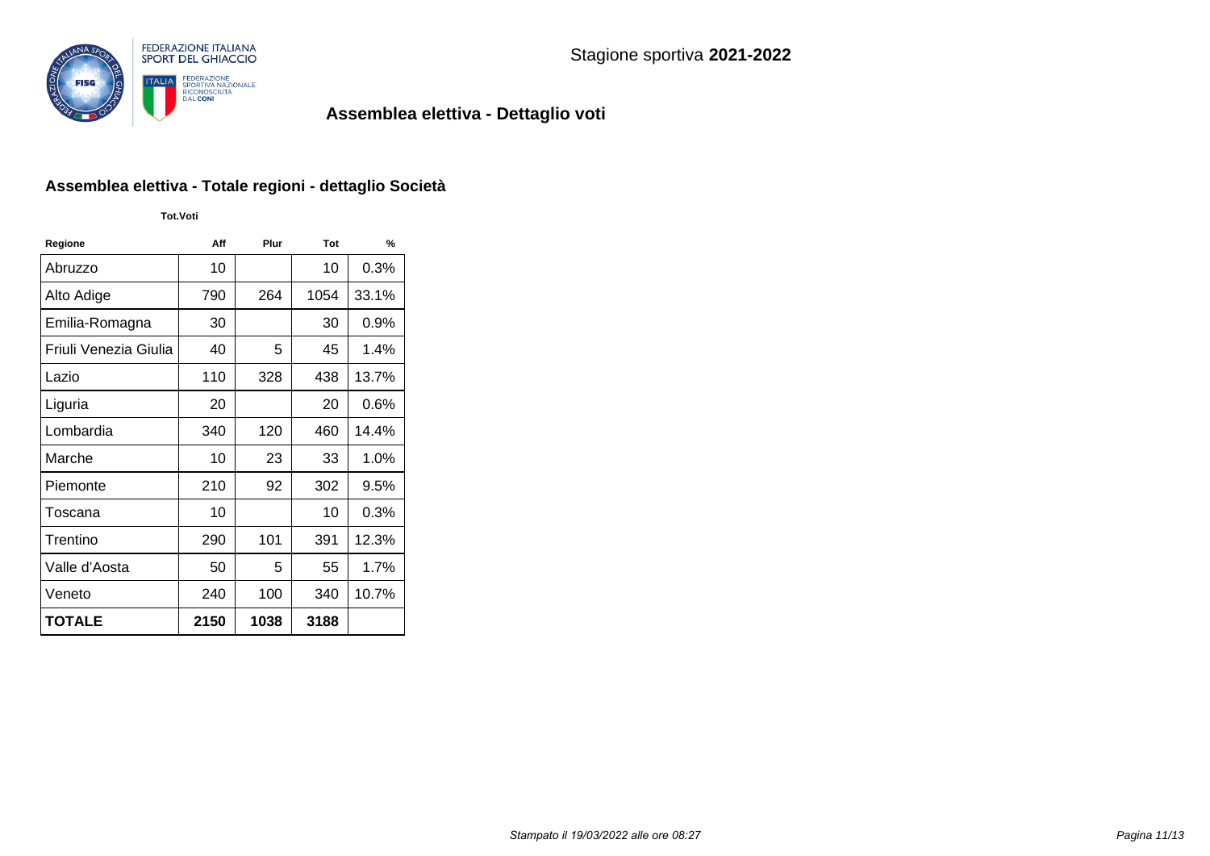

### **Assemblea elettiva - Totale regioni - dettaglio Società**

**Tot.Voti**

| Regione               | Aff  | Plur | Tot  | %       |
|-----------------------|------|------|------|---------|
| Abruzzo               | 10   |      | 10   | 0.3%    |
| Alto Adige            | 790  | 264  | 1054 | 33.1%   |
| Emilia-Romagna        | 30   |      | 30   | $0.9\%$ |
| Friuli Venezia Giulia | 40   | 5    | 45   | 1.4%    |
| Lazio                 | 110  | 328  | 438  | 13.7%   |
| Liguria               | 20   |      | 20   | $0.6\%$ |
| Lombardia             | 340  | 120  | 460  | 14.4%   |
| Marche                | 10   | 23   | 33   | 1.0%    |
| Piemonte              | 210  | 92   | 302  | 9.5%    |
| Toscana               | 10   |      | 10   | $0.3\%$ |
| Trentino              | 290  | 101  | 391  | 12.3%   |
| Valle d'Aosta         | 50   | 5    | 55   | 1.7%    |
| Veneto                | 240  | 100  | 340  | 10.7%   |
| <b>TOTALE</b>         | 2150 | 1038 | 3188 |         |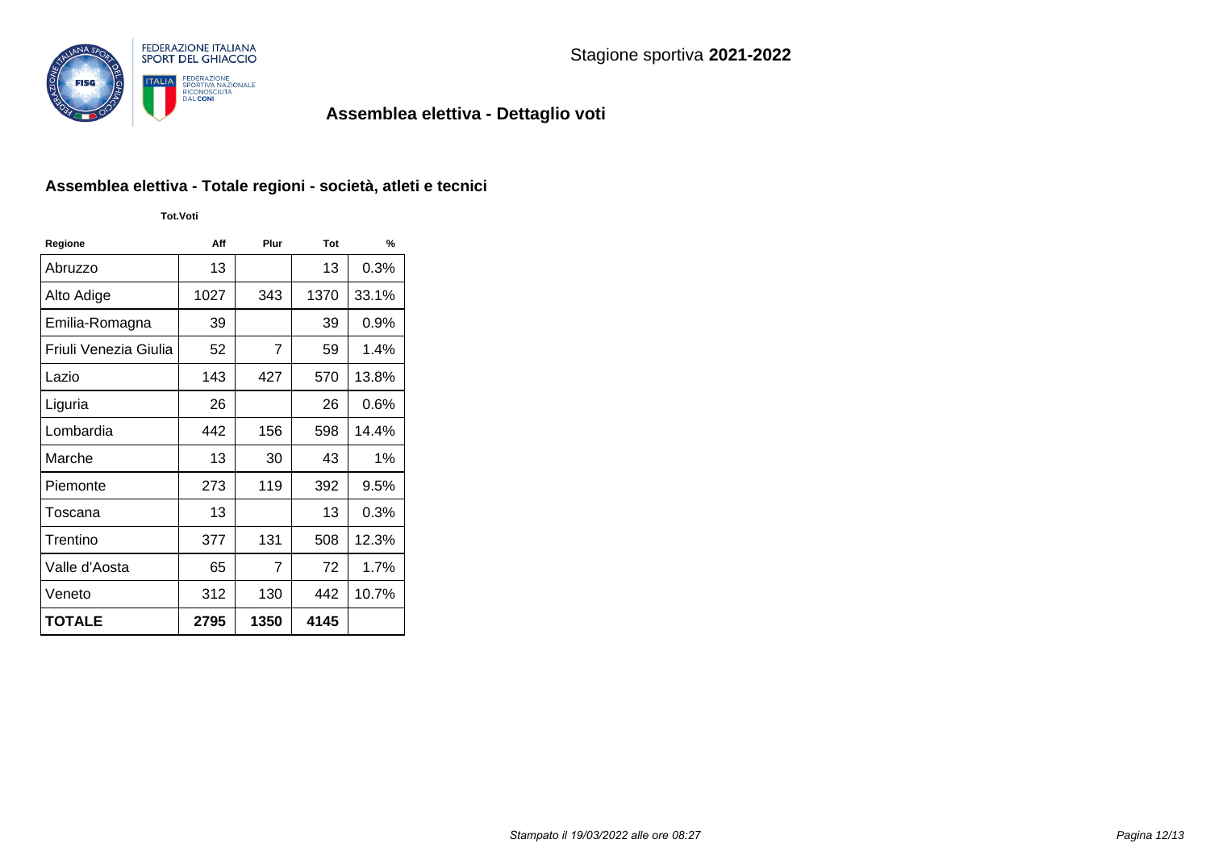

### **Assemblea elettiva - Totale regioni - società, atleti e tecnici**

**Tot.Voti**

| Regione               | Aff  | Plur           | Tot  | $\frac{9}{6}$ |
|-----------------------|------|----------------|------|---------------|
| Abruzzo               | 13   |                | 13   | 0.3%          |
| Alto Adige            | 1027 | 343            | 1370 | 33.1%         |
| Emilia-Romagna        | 39   |                | 39   | 0.9%          |
| Friuli Venezia Giulia | 52   | $\overline{7}$ | 59   | 1.4%          |
| Lazio                 | 143  | 427            | 570  | 13.8%         |
| Liguria               | 26   |                | 26   | $0.6\%$       |
| Lombardia             | 442  | 156            | 598  | 14.4%         |
| Marche                | 13   | 30             | 43   | 1%            |
| Piemonte              | 273  | 119            | 392  | 9.5%          |
| Toscana               | 13   |                | 13   | $0.3\%$       |
| Trentino              | 377  | 131            | 508  | 12.3%         |
| Valle d'Aosta         | 65   | 7              | 72   | 1.7%          |
| Veneto                | 312  | 130            | 442  | 10.7%         |
| <b>TOTALE</b>         | 2795 | 1350           | 4145 |               |